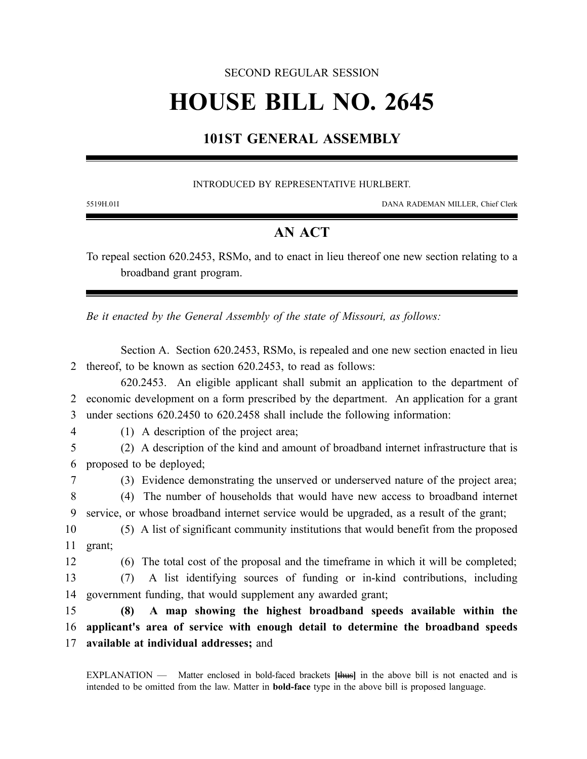### SECOND REGULAR SESSION

# **HOUSE BILL NO. 2645**

## **101ST GENERAL ASSEMBLY**

#### INTRODUCED BY REPRESENTATIVE HURLBERT.

5519H.01I DANA RADEMAN MILLER, Chief Clerk

## **AN ACT**

To repeal section 620.2453, RSMo, and to enact in lieu thereof one new section relating to a broadband grant program.

*Be it enacted by the General Assembly of the state of Missouri, as follows:*

Section A. Section 620.2453, RSMo, is repealed and one new section enacted in lieu 2 thereof, to be known as section 620.2453, to read as follows:

620.2453. An eligible applicant shall submit an application to the department of 2 economic development on a form prescribed by the department. An application for a grant 3 under sections 620.2450 to 620.2458 shall include the following information:

4 (1) A description of the project area;

5 (2) A description of the kind and amount of broadband internet infrastructure that is 6 proposed to be deployed;

7 (3) Evidence demonstrating the unserved or underserved nature of the project area;

8 (4) The number of households that would have new access to broadband internet 9 service, or whose broadband internet service would be upgraded, as a result of the grant;

10 (5) A list of significant community institutions that would benefit from the proposed 11 grant;

12 (6) The total cost of the proposal and the timeframe in which it will be completed;

13 (7) A list identifying sources of funding or in-kind contributions, including 14 government funding, that would supplement any awarded grant;

15 **(8) A map showing the highest broadband speeds available within the** 16 **applicant's area of service with enough detail to determine the broadband speeds** 17 **available at individual addresses;** and

EXPLANATION — Matter enclosed in bold-faced brackets **[**thus**]** in the above bill is not enacted and is intended to be omitted from the law. Matter in **bold-face** type in the above bill is proposed language.